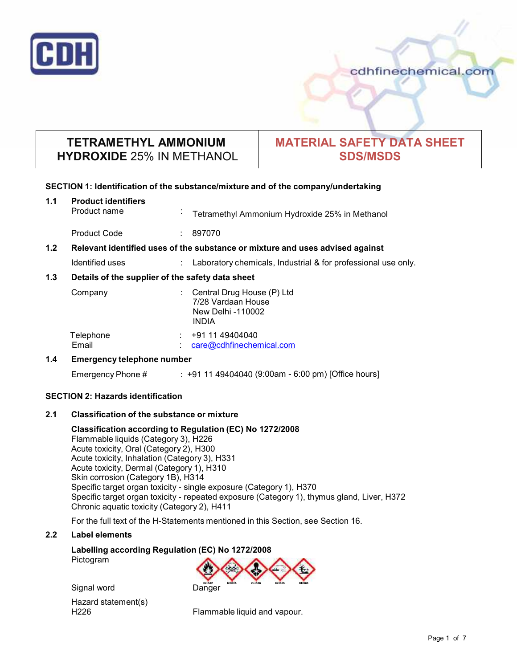

cdhfinechemical.com

## **TETRAMETHYL AMMONIUM HYDROXIDE** 25% IN METHANOL

# **MATERIAL SAFETY DATA SHEET SDS/MSDS**

## **SECTION 1: Identification of the substance/mixture and of the company/undertaking**

| 1.1                                      | <b>Product identifiers</b><br>Product name                                    | $\sim$                        | Tetramethyl Ammonium Hydroxide 25% in Methanol                                        |
|------------------------------------------|-------------------------------------------------------------------------------|-------------------------------|---------------------------------------------------------------------------------------|
|                                          | <b>Product Code</b>                                                           |                               | 897070                                                                                |
| 1.2 <sub>2</sub>                         | Relevant identified uses of the substance or mixture and uses advised against |                               |                                                                                       |
|                                          | Identified uses                                                               | $\mathcal{L}^{\mathcal{L}}$ . | Laboratory chemicals, Industrial & for professional use only.                         |
| 1.3                                      | Details of the supplier of the safety data sheet                              |                               |                                                                                       |
|                                          | Company                                                                       |                               | Central Drug House (P) Ltd<br>7/28 Vardaan House<br>New Delhi -110002<br><b>INDIA</b> |
|                                          | Telephone<br>Email                                                            |                               | +91 11 49404040<br>care@cdhfinechemical.com                                           |
| $1.4^{\circ}$                            | <b>Emergency telephone number</b>                                             |                               |                                                                                       |
|                                          | Emergency Phone #                                                             |                               | : +91 11 49404040 (9:00am - 6:00 pm) [Office hours]                                   |
| <b>SECTION 2: Hazards identification</b> |                                                                               |                               |                                                                                       |
| 2.1                                      | <b>Classification of the substance or mixture</b>                             |                               |                                                                                       |

**Classification according to Regulation (EC) No 1272/2008** Flammable liquids (Category 3), H226 Acute toxicity, Oral (Category 2), H300 Acute toxicity, Inhalation (Category 3), H331 Acute toxicity, Dermal (Category 1), H310 Skin corrosion (Category 1B), H314 Specific target organ toxicity - single exposure (Category 1), H370 Specific target organ toxicity - repeated exposure (Category 1), thymus gland, Liver, H372 Chronic aquatic toxicity (Category 2), H411

For the full text of the H-Statements mentioned in this Section, see Section 16.

## **2.2 Label elements**

**Labelling according Regulation (EC) No 1272/2008** Pictogram



Signal word Danger Hazard statement(s)<br>H226

Flammable liquid and vapour.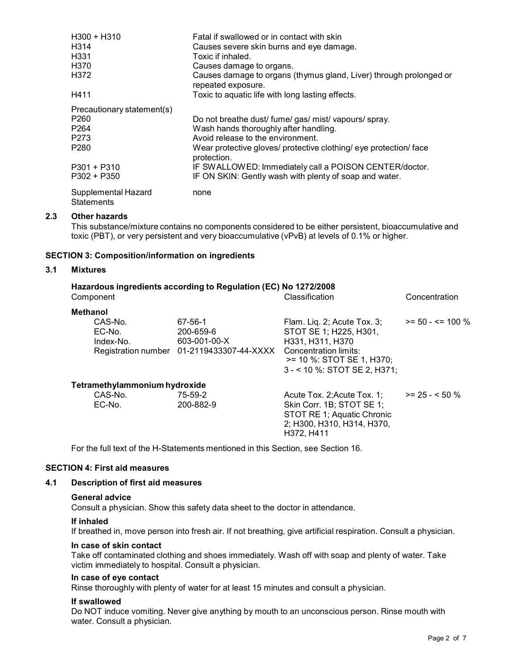| $H300 + H310$                            | Fatal if swallowed or in contact with skin                                               |
|------------------------------------------|------------------------------------------------------------------------------------------|
| H314                                     | Causes severe skin burns and eye damage.                                                 |
| H331                                     | Toxic if inhaled.                                                                        |
| H370                                     | Causes damage to organs.                                                                 |
| H372                                     | Causes damage to organs (thymus gland, Liver) through prolonged or<br>repeated exposure. |
| H411                                     | Toxic to aquatic life with long lasting effects.                                         |
| Precautionary statement(s)               |                                                                                          |
| P <sub>260</sub>                         | Do not breathe dust/ fume/ gas/ mist/ vapours/ spray.                                    |
| P264                                     | Wash hands thoroughly after handling.                                                    |
| P273                                     | Avoid release to the environment.                                                        |
| P <sub>280</sub>                         | Wear protective gloves/ protective clothing/ eye protection/ face<br>protection.         |
| $P301 + P310$                            | IF SWALLOWED: Immediately call a POISON CENTER/doctor.                                   |
| P302 + P350                              | IF ON SKIN: Gently wash with plenty of soap and water.                                   |
| Supplemental Hazard<br><b>Statements</b> | none                                                                                     |

## **2.3 Other hazards**

This substance/mixture contains no components considered to be either persistent, bioaccumulative and toxic (PBT), or very persistent and very bioaccumulative (vPvB) at levels of 0.1% or higher.

#### **SECTION 3: Composition/information on ingredients**

#### **3.1 Mixtures**

| Component                     |                                | Hazardous ingredients according to Regulation (EC) No 1272/2008                   | Classification                                                                                                                                                       | Concentration        |
|-------------------------------|--------------------------------|-----------------------------------------------------------------------------------|----------------------------------------------------------------------------------------------------------------------------------------------------------------------|----------------------|
| <b>Methanol</b>               |                                |                                                                                   |                                                                                                                                                                      |                      |
|                               | CAS-No.<br>EC-No.<br>Index-No. | 67-56-1<br>200-659-6<br>603-001-00-X<br>Registration number 01-2119433307-44-XXXX | Flam. Lig. 2; Acute Tox. $3$ ;<br>STOT SE 1; H225, H301,<br>H331, H311, H370<br>Concentration limits:<br>$>= 10$ %: STOT SE 1, H370;<br>3 - < 10 %: STOT SE 2, H371; | $>= 50 - 5 = 100 \%$ |
| Tetramethylammonium hydroxide |                                |                                                                                   |                                                                                                                                                                      |                      |
|                               | CAS-No.<br>EC-No.              | 75-59-2<br>200-882-9                                                              | Acute Tox. 2; Acute Tox. 1;<br>Skin Corr. 1B; STOT SE 1;<br>STOT RE 1; Aquatic Chronic<br>2; H300, H310, H314, H370,<br>H372. H411                                   | $>= 25 - 50 \%$      |

For the full text of the H-Statements mentioned in this Section, see Section 16.

#### **SECTION 4: First aid measures**

## **4.1 Description of first aid measures**

#### **General advice**

Consult a physician. Show this safety data sheet to the doctor in attendance.

#### **If inhaled**

If breathed in, move person into fresh air. If not breathing, give artificial respiration. Consult a physician.

#### **In case of skin contact**

Take off contaminated clothing and shoes immediately. Wash off with soap and plenty of water. Take victim immediately to hospital. Consult a physician.

#### **In case of eye contact**

Rinse thoroughly with plenty of water for at least 15 minutes and consult a physician.

#### **If swallowed**

Do NOT induce vomiting. Never give anything by mouth to an unconscious person. Rinse mouth with water. Consult a physician.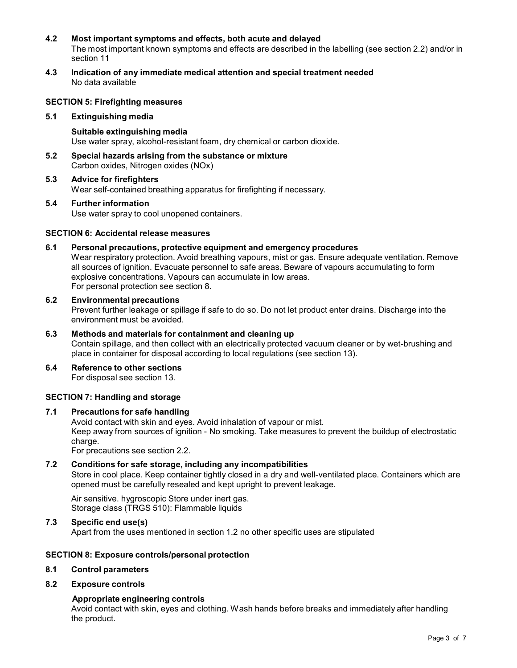## **4.2 Most important symptoms and effects, both acute and delayed**

The most important known symptoms and effects are described in the labelling (see section 2.2) and/or in section 11

**4.3 Indication of any immediate medical attention and special treatment needed** No data available

## **SECTION 5: Firefighting measures**

#### **5.1 Extinguishing media**

**Suitable extinguishing media** Use water spray, alcohol-resistant foam, dry chemical or carbon dioxide.

- **5.2 Special hazards arising from the substance ormixture** Carbon oxides, Nitrogen oxides (NOx)
- **5.3 Advice for firefighters** Wear self-contained breathing apparatus for firefighting if necessary.

## **5.4 Further information** Use water spray to cool unopened containers.

#### **SECTION 6: Accidental release measures**

#### **6.1 Personal precautions, protective equipment and emergency procedures**

Wear respiratory protection. Avoid breathing vapours, mist or gas. Ensure adequate ventilation. Remove all sources of ignition. Evacuate personnel to safe areas. Beware of vapours accumulating to form explosive concentrations. Vapours can accumulate in low areas. For personal protection see section 8.

#### **6.2 Environmental precautions**

Prevent further leakage or spillage if safe to do so. Do not let product enter drains. Discharge into the environment must be avoided.

## **6.3 Methods and materials for containment and cleaning up** Contain spillage, and then collect with an electrically protected vacuum cleaner or by wet-brushing and place in container for disposal according to local regulations (see section 13).

## **6.4 Reference to other sections**

For disposal see section 13.

## **SECTION 7: Handling and storage**

## **7.1 Precautions for safe handling**

Avoid contact with skin and eyes. Avoid inhalation of vapour or mist. Keep away from sources of ignition - No smoking. Take measures to prevent the buildup of electrostatic charge.

For precautions see section 2.2.

## **7.2 Conditions for safe storage, including any incompatibilities**

Store in cool place. Keep container tightly closed in a dry and well-ventilated place. Containers which are opened must be carefully resealed and kept upright to prevent leakage.

Air sensitive. hygroscopic Store under inert gas. Storage class (TRGS 510): Flammable liquids

## **7.3 Specific end use(s)**

Apart from the uses mentioned in section 1.2 no other specific uses are stipulated

## **SECTION 8: Exposure controls/personal protection**

#### **8.1 Control parameters**

## **8.2 Exposure controls**

#### **Appropriate engineering controls**

Avoid contact with skin, eyes and clothing. Wash hands before breaks and immediately after handling the product.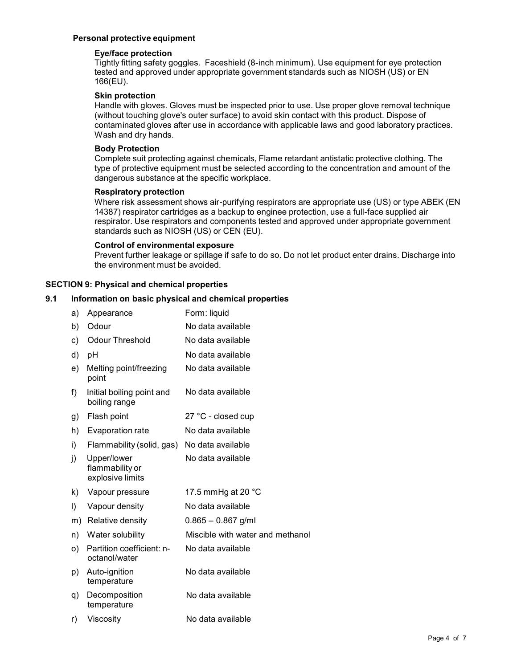## **Personal protective equipment**

## **Eye/face protection**

Tightly fitting safety goggles. Faceshield (8-inch minimum). Use equipment for eye protection tested and approved under appropriate government standards such as NIOSH (US) or EN 166(EU).

## **Skin protection**

Handle with gloves. Gloves must be inspected prior to use. Use proper glove removal technique (without touching glove's outer surface) to avoid skin contact with this product. Dispose of contaminated gloves after use in accordance with applicable laws and good laboratory practices. Wash and dry hands.

## **Body Protection**

Complete suit protecting against chemicals, Flame retardant antistatic protective clothing. The type of protective equipment must be selected according to the concentration and amount of the dangerous substance at the specific workplace.

## **Respiratory protection**

Where risk assessment shows air-purifying respirators are appropriate use (US) or type ABEK (EN 14387) respirator cartridges as a backup to enginee protection, use a full-face supplied air respirator. Use respirators and components tested and approved under appropriate government standards such as NIOSH (US) or CEN (EU).

## **Control of environmental exposure**

Prevent further leakage or spillage if safe to do so. Do not let product enter drains. Discharge into the environment must be avoided.

## **SECTION 9: Physical and chemical properties**

## **9.1 Information on basic physical and chemical properties**

| a) | Appearance                                         | Form: liquid                     |
|----|----------------------------------------------------|----------------------------------|
| b) | Odour                                              | No data available                |
| c) | <b>Odour Threshold</b>                             | No data available                |
| d) | pH                                                 | No data available                |
| e) | Melting point/freezing<br>point                    | No data available                |
| f) | Initial boiling point and<br>boiling range         | No data available                |
| g) | Flash point                                        | 27 °C - closed cup               |
| h) | Evaporation rate                                   | No data available                |
| i) | Flammability (solid, gas)                          | No data available                |
| j) | Upper/lower<br>flammability or<br>explosive limits | No data available                |
| k) | Vapour pressure                                    | 17.5 mmHg at 20 $^{\circ}$ C     |
| I) | Vapour density                                     | No data available                |
| m) | Relative density                                   | $0.865 - 0.867$ g/ml             |
| n) | Water solubility                                   | Miscible with water and methanol |
| O) | Partition coefficient: n-<br>octanol/water         | No data available                |
| p) | Auto-ignition<br>temperature                       | No data available                |
| q) | Decomposition<br>temperature                       | No data available                |
| r) | Viscosity                                          | No data available                |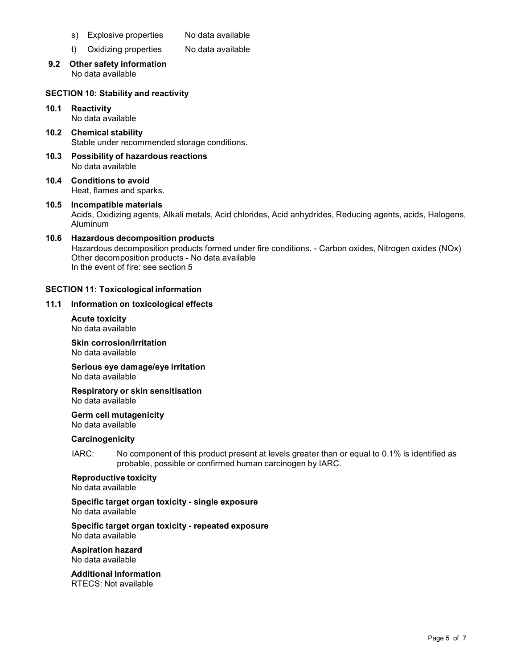- s) Explosive properties No data available
- t) Oxidizing properties No data available
- **9.2 Other safety information** No data available

## **SECTION 10: Stability and reactivity**

**10.1 Reactivity** No data available

**10.2 Chemical stability** Stable under recommended storage conditions.

- **10.3 Possibility of hazardous reactions** No data available
- **10.4 Conditions to avoid** Heat, flames and sparks.
- **10.5 Incompatible materials** Acids, Oxidizing agents, Alkali metals, Acid chlorides, Acid anhydrides, Reducing agents, acids, Halogens, Aluminum

### **10.6 Hazardous decomposition products** Hazardous decomposition products formed under fire conditions. - Carbon oxides, Nitrogen oxides (NOx) Other decomposition products - No data available In the event of fire: see section 5

## **SECTION 11: Toxicological information**

#### **11.1 Information on toxicological effects**

**Acute toxicity** No data available

**Skin corrosion/irritation** No data available

**Serious eye damage/eye irritation** No data available

**Respiratory orskin sensitisation** No data available

**Germ cell mutagenicity** No data available

#### **Carcinogenicity**

IARC: No component of this product present at levels greater than or equal to 0.1% is identified as probable, possible or confirmed human carcinogen by IARC.

#### **Reproductive toxicity**

No data available

## **Specific target organ toxicity - single exposure**

No data available

**Specific target organ toxicity - repeated exposure**

No data available

**Aspiration hazard** No data available

## **Additional Information**

RTECS: Not available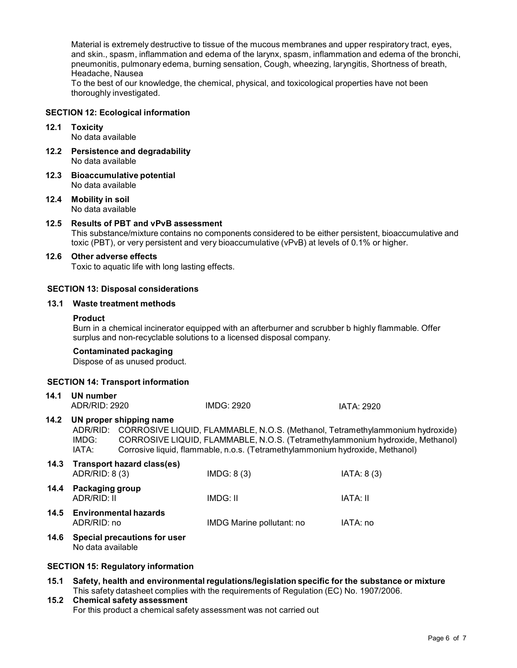Material is extremely destructive to tissue of the mucous membranes and upper respiratory tract, eyes, and skin., spasm, inflammation and edema of the larynx, spasm, inflammation and edema of the bronchi, pneumonitis, pulmonary edema, burning sensation, Cough, wheezing, laryngitis, Shortness of breath, Headache, Nausea

To the best of our knowledge, the chemical, physical, and toxicological properties have not been thoroughly investigated.

#### **SECTION 12: Ecological information**

## **12.1 Toxicity**

No data available

- **12.2 Persistence and degradability** No data available
- **12.3 Bioaccumulative potential** No data available
- **12.4 Mobility in soil** No data available
- **12.5 Results of PBT and vPvB assessment** This substance/mixture contains no components considered to be either persistent, bioaccumulative and toxic (PBT), or very persistent and very bioaccumulative (vPvB) at levels of 0.1% or higher.

#### **12.6 Other adverse effects**

Toxic to aquatic life with long lasting effects.

#### **SECTION 13: Disposal considerations**

#### **13.1 Waste treatment methods**

#### **Product**

Burn in a chemical incinerator equipped with an afterburner and scrubber b highly flammable. Offer surplus and non-recyclable solutions to a licensed disposal company.

#### **Contaminated packaging**

Dispose of as unused product.

#### **SECTION 14: Transport information**

| 14.1 | UN number<br>ADR/RID: 2920     |                                                                                                                                                                                                                                                                            | IMDG: 2920                | IATA: 2920 |
|------|--------------------------------|----------------------------------------------------------------------------------------------------------------------------------------------------------------------------------------------------------------------------------------------------------------------------|---------------------------|------------|
| 14.2 | ADR/RID:<br>IMDG:<br>IATA:     | UN proper shipping name<br>CORROSIVE LIQUID, FLAMMABLE, N.O.S. (Methanol, Tetramethylammonium hydroxide)<br>CORROSIVE LIQUID, FLAMMABLE, N.O.S. (Tetramethylammonium hydroxide, Methanol)<br>Corrosive liquid, flammable, n.o.s. (Tetramethylammonium hydroxide, Methanol) |                           |            |
| 14.3 | ADR/RID: 8 (3)                 | Transport hazard class(es)                                                                                                                                                                                                                                                 | IMDG: 8(3)                | IATA: 8(3) |
| 14.4 | Packaging group<br>ADR/RID: II |                                                                                                                                                                                                                                                                            | IMDG: II                  | IATA: II   |
| 14.5 | ADR/RID: no                    | <b>Environmental hazards</b>                                                                                                                                                                                                                                               | IMDG Marine pollutant: no | IATA: no   |
| 14.6 | No data available              | <b>Special precautions for user</b>                                                                                                                                                                                                                                        |                           |            |

## **SECTION 15: Regulatory information**

- **15.1 Safety, health and environmental regulations/legislation specific for the substance ormixture** This safety datasheet complies with the requirements of Regulation (EC) No. 1907/2006.
- **15.2 Chemical safety assessment** For this product a chemical safety assessment was not carried out